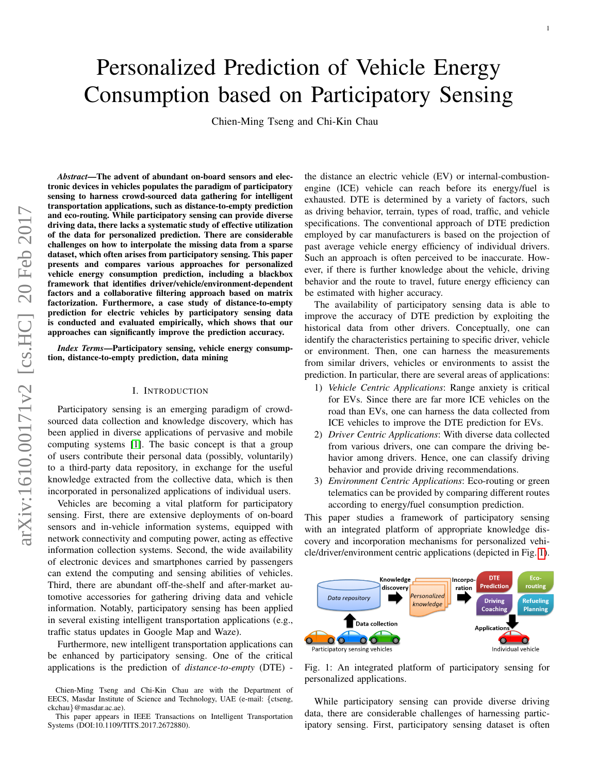# Personalized Prediction of Vehicle Energy Consumption based on Participatory Sensing

Chien-Ming Tseng and Chi-Kin Chau

arXiv:1610.00171v2 [cs.HC] 20 Feb 2017 arXiv:1610.00171v2 [cs.HC] 20 Feb 2017

*Abstract*—The advent of abundant on-board sensors and electronic devices in vehicles populates the paradigm of participatory sensing to harness crowd-sourced data gathering for intelligent transportation applications, such as distance-to-empty prediction and eco-routing. While participatory sensing can provide diverse driving data, there lacks a systematic study of effective utilization of the data for personalized prediction. There are considerable challenges on how to interpolate the missing data from a sparse dataset, which often arises from participatory sensing. This paper presents and compares various approaches for personalized vehicle energy consumption prediction, including a blackbox framework that identifies driver/vehicle/environment-dependent factors and a collaborative filtering approach based on matrix factorization. Furthermore, a case study of distance-to-empty prediction for electric vehicles by participatory sensing data is conducted and evaluated empirically, which shows that our approaches can significantly improve the prediction accuracy.

*Index Terms*—Participatory sensing, vehicle energy consumption, distance-to-empty prediction, data mining

## I. INTRODUCTION

Participatory sensing is an emerging paradigm of crowdsourced data collection and knowledge discovery, which has been applied in diverse applications of pervasive and mobile computing systems [\[1\]](#page-10-0). The basic concept is that a group of users contribute their personal data (possibly, voluntarily) to a third-party data repository, in exchange for the useful knowledge extracted from the collective data, which is then incorporated in personalized applications of individual users.

Vehicles are becoming a vital platform for participatory sensing. First, there are extensive deployments of on-board sensors and in-vehicle information systems, equipped with network connectivity and computing power, acting as effective information collection systems. Second, the wide availability of electronic devices and smartphones carried by passengers can extend the computing and sensing abilities of vehicles. Third, there are abundant off-the-shelf and after-market automotive accessories for gathering driving data and vehicle information. Notably, participatory sensing has been applied in several existing intelligent transportation applications (e.g., traffic status updates in Google Map and Waze).

Furthermore, new intelligent transportation applications can be enhanced by participatory sensing. One of the critical applications is the prediction of *distance-to-empty* (DTE) - the distance an electric vehicle (EV) or internal-combustionengine (ICE) vehicle can reach before its energy/fuel is exhausted. DTE is determined by a variety of factors, such as driving behavior, terrain, types of road, traffic, and vehicle specifications. The conventional approach of DTE prediction employed by car manufacturers is based on the projection of past average vehicle energy efficiency of individual drivers. Such an approach is often perceived to be inaccurate. However, if there is further knowledge about the vehicle, driving behavior and the route to travel, future energy efficiency can be estimated with higher accuracy.

The availability of participatory sensing data is able to improve the accuracy of DTE prediction by exploiting the historical data from other drivers. Conceptually, one can identify the characteristics pertaining to specific driver, vehicle or environment. Then, one can harness the measurements from similar drivers, vehicles or environments to assist the prediction. In particular, there are several areas of applications:

- 1) *Vehicle Centric Applications*: Range anxiety is critical for EVs. Since there are far more ICE vehicles on the road than EVs, one can harness the data collected from ICE vehicles to improve the DTE prediction for EVs.
- 2) *Driver Centric Applications*: With diverse data collected from various drivers, one can compare the driving behavior among drivers. Hence, one can classify driving behavior and provide driving recommendations.
- 3) *Environment Centric Applications*: Eco-routing or green telematics can be provided by comparing different routes according to energy/fuel consumption prediction.

This paper studies a framework of participatory sensing with an integrated platform of appropriate knowledge discovery and incorporation mechanisms for personalized vehicle/driver/environment centric applications (depicted in Fig. [1\)](#page-0-0).

<span id="page-0-0"></span>

Fig. 1: An integrated platform of participatory sensing for personalized applications.

While participatory sensing can provide diverse driving data, there are considerable challenges of harnessing participatory sensing. First, participatory sensing dataset is often

Chien-Ming Tseng and Chi-Kin Chau are with the Department of EECS, Masdar Institute of Science and Technology, UAE (e-mail: {ctseng, ckchau}@masdar.ac.ae).

This paper appears in IEEE Transactions on Intelligent Transportation Systems (DOI:10.1109/TITS.2017.2672880).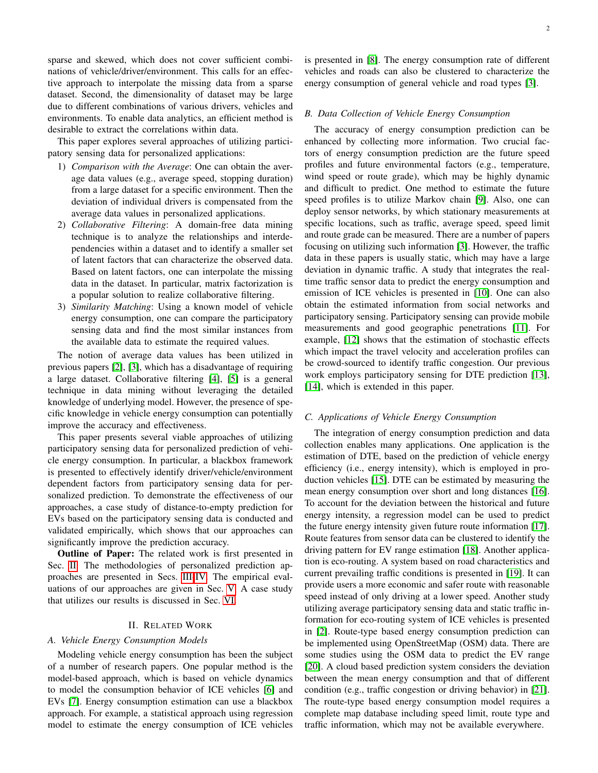sparse and skewed, which does not cover sufficient combinations of vehicle/driver/environment. This calls for an effective approach to interpolate the missing data from a sparse dataset. Second, the dimensionality of dataset may be large due to different combinations of various drivers, vehicles and environments. To enable data analytics, an efficient method is desirable to extract the correlations within data.

This paper explores several approaches of utilizing participatory sensing data for personalized applications:

- 1) *Comparison with the Average*: One can obtain the average data values (e.g., average speed, stopping duration) from a large dataset for a specific environment. Then the deviation of individual drivers is compensated from the average data values in personalized applications.
- 2) *Collaborative Filtering*: A domain-free data mining technique is to analyze the relationships and interdependencies within a dataset and to identify a smaller set of latent factors that can characterize the observed data. Based on latent factors, one can interpolate the missing data in the dataset. In particular, matrix factorization is a popular solution to realize collaborative filtering.
- 3) *Similarity Matching*: Using a known model of vehicle energy consumption, one can compare the participatory sensing data and find the most similar instances from the available data to estimate the required values.

The notion of average data values has been utilized in previous papers [\[2\]](#page-10-1), [\[3\]](#page-10-2), which has a disadvantage of requiring a large dataset. Collaborative filtering [\[4\]](#page-10-3), [\[5\]](#page-10-4) is a general technique in data mining without leveraging the detailed knowledge of underlying model. However, the presence of specific knowledge in vehicle energy consumption can potentially improve the accuracy and effectiveness.

This paper presents several viable approaches of utilizing participatory sensing data for personalized prediction of vehicle energy consumption. In particular, a blackbox framework is presented to effectively identify driver/vehicle/environment dependent factors from participatory sensing data for personalized prediction. To demonstrate the effectiveness of our approaches, a case study of distance-to-empty prediction for EVs based on the participatory sensing data is conducted and validated empirically, which shows that our approaches can significantly improve the prediction accuracy.

Outline of Paper: The related work is first presented in Sec. [II.](#page-1-0) The methodologies of personalized prediction approaches are presented in Secs. [III](#page-2-0)[-IV.](#page-3-0) The empirical evaluations of our approaches are given in Sec. [V.](#page-6-0) A case study that utilizes our results is discussed in Sec. [VI.](#page-8-0)

#### II. RELATED WORK

## <span id="page-1-0"></span>*A. Vehicle Energy Consumption Models*

Modeling vehicle energy consumption has been the subject of a number of research papers. One popular method is the model-based approach, which is based on vehicle dynamics to model the consumption behavior of ICE vehicles [\[6\]](#page-10-5) and EVs [\[7\]](#page-10-6). Energy consumption estimation can use a blackbox approach. For example, a statistical approach using regression model to estimate the energy consumption of ICE vehicles

is presented in [\[8\]](#page-10-7). The energy consumption rate of different vehicles and roads can also be clustered to characterize the energy consumption of general vehicle and road types [\[3\]](#page-10-2).

# *B. Data Collection of Vehicle Energy Consumption*

The accuracy of energy consumption prediction can be enhanced by collecting more information. Two crucial factors of energy consumption prediction are the future speed profiles and future environmental factors (e.g., temperature, wind speed or route grade), which may be highly dynamic and difficult to predict. One method to estimate the future speed profiles is to utilize Markov chain [\[9\]](#page-10-8). Also, one can deploy sensor networks, by which stationary measurements at specific locations, such as traffic, average speed, speed limit and route grade can be measured. There are a number of papers focusing on utilizing such information [\[3\]](#page-10-2). However, the traffic data in these papers is usually static, which may have a large deviation in dynamic traffic. A study that integrates the realtime traffic sensor data to predict the energy consumption and emission of ICE vehicles is presented in [\[10\]](#page-10-9). One can also obtain the estimated information from social networks and participatory sensing. Participatory sensing can provide mobile measurements and good geographic penetrations [\[11\]](#page-10-10). For example, [\[12\]](#page-10-11) shows that the estimation of stochastic effects which impact the travel velocity and acceleration profiles can be crowd-sourced to identify traffic congestion. Our previous work employs participatory sensing for DTE prediction [\[13\]](#page-10-12), [\[14\]](#page-10-13), which is extended in this paper.

# *C. Applications of Vehicle Energy Consumption*

The integration of energy consumption prediction and data collection enables many applications. One application is the estimation of DTE, based on the prediction of vehicle energy efficiency (i.e., energy intensity), which is employed in production vehicles [\[15\]](#page-10-14). DTE can be estimated by measuring the mean energy consumption over short and long distances [\[16\]](#page-10-15). To account for the deviation between the historical and future energy intensity, a regression model can be used to predict the future energy intensity given future route information [\[17\]](#page-10-16). Route features from sensor data can be clustered to identify the driving pattern for EV range estimation [\[18\]](#page-10-17). Another application is eco-routing. A system based on road characteristics and current prevailing traffic conditions is presented in [\[19\]](#page-10-18). It can provide users a more economic and safer route with reasonable speed instead of only driving at a lower speed. Another study utilizing average participatory sensing data and static traffic information for eco-routing system of ICE vehicles is presented in [\[2\]](#page-10-1). Route-type based energy consumption prediction can be implemented using OpenStreetMap (OSM) data. There are some studies using the OSM data to predict the EV range [\[20\]](#page-10-19). A cloud based prediction system considers the deviation between the mean energy consumption and that of different condition (e.g., traffic congestion or driving behavior) in [\[21\]](#page-10-20). The route-type based energy consumption model requires a complete map database including speed limit, route type and traffic information, which may not be available everywhere.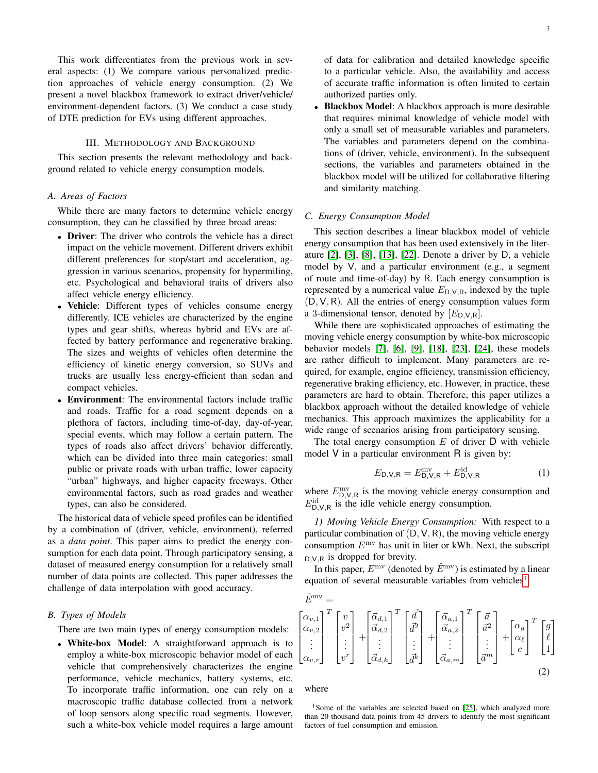This work differentiates from the previous work in several aspects: (1) We compare various personalized prediction approaches of vehicle energy consumption. (2) We present a novel blackbox framework to extract driver/vehicle/ environment-dependent factors. (3) We conduct a case study of DTE prediction for EVs using different approaches.

### III. METHODOLOGY AND BACKGROUND

<span id="page-2-0"></span>This section presents the relevant methodology and background related to vehicle energy consumption models.

# *A. Areas of Factors*

While there are many factors to determine vehicle energy consumption, they can be classified by three broad areas:

- Driver: The driver who controls the vehicle has a direct impact on the vehicle movement. Different drivers exhibit different preferences for stop/start and acceleration, aggression in various scenarios, propensity for hypermiling, etc. Psychological and behavioral traits of drivers also affect vehicle energy efficiency.
- Vehicle: Different types of vehicles consume energy differently. ICE vehicles are characterized by the engine types and gear shifts, whereas hybrid and EVs are affected by battery performance and regenerative braking. The sizes and weights of vehicles often determine the efficiency of kinetic energy conversion, so SUVs and trucks are usually less energy-efficient than sedan and compact vehicles.
- Environment: The environmental factors include traffic and roads. Traffic for a road segment depends on a plethora of factors, including time-of-day, day-of-year, special events, which may follow a certain pattern. The types of roads also affect drivers' behavior differently, which can be divided into three main categories: small public or private roads with urban traffic, lower capacity "urban" highways, and higher capacity freeways. Other environmental factors, such as road grades and weather types, can also be considered.

The historical data of vehicle speed profiles can be identified by a combination of (driver, vehicle, environment), referred as a *data point*. This paper aims to predict the energy consumption for each data point. Through participatory sensing, a dataset of measured energy consumption for a relatively small number of data points are collected. This paper addresses the challenge of data interpolation with good accuracy.

#### *B. Types of Models*

There are two main types of energy consumption models:

• White-box Model: A straightforward approach is to employ a white-box microscopic behavior model of each vehicle that comprehensively characterizes the engine performance, vehicle mechanics, battery systems, etc. To incorporate traffic information, one can rely on a macroscopic traffic database collected from a network of loop sensors along specific road segments. However, such a white-box vehicle model requires a large amount

of data for calibration and detailed knowledge specific to a particular vehicle. Also, the availability and access of accurate traffic information is often limited to certain authorized parties only.

• Blackbox Model: A blackbox approach is more desirable that requires minimal knowledge of vehicle model with only a small set of measurable variables and parameters. The variables and parameters depend on the combinations of (driver, vehicle, environment). In the subsequent sections, the variables and parameters obtained in the blackbox model will be utilized for collaborative filtering and similarity matching.

#### *C. Energy Consumption Model*

This section describes a linear blackbox model of vehicle energy consumption that has been used extensively in the literature [\[2\]](#page-10-1), [\[3\]](#page-10-2), [\[8\]](#page-10-7), [\[13\]](#page-10-12), [\[22\]](#page-10-21). Denote a driver by D, a vehicle model by V, and a particular environment (e.g., a segment of route and time-of-day) by R. Each energy consumption is represented by a numerical value  $E_{D,V,R}$ , indexed by the tuple (D, V, R). All the entries of energy consumption values form a 3-dimensional tensor, denoted by  $[E_{D,V,R}]$ .

While there are sophisticated approaches of estimating the moving vehicle energy consumption by white-box microscopic behavior models [\[7\]](#page-10-6), [\[6\]](#page-10-5), [\[9\]](#page-10-8), [\[18\]](#page-10-17), [\[23\]](#page-10-22), [\[24\]](#page-10-23), these models are rather difficult to implement. Many parameters are required, for example, engine efficiency, transmission efficiency, regenerative braking efficiency, etc. However, in practice, these parameters are hard to obtain. Therefore, this paper utilizes a blackbox approach without the detailed knowledge of vehicle mechanics. This approach maximizes the applicability for a wide range of scenarios arising from participatory sensing.

The total energy consumption  $E$  of driver  $D$  with vehicle model V in a particular environment R is given by:

<span id="page-2-3"></span>
$$
E_{\mathsf{D},\mathsf{V},\mathsf{R}} = E_{\mathsf{D},\mathsf{V},\mathsf{R}}^{\text{mv}} + E_{\mathsf{D},\mathsf{V},\mathsf{R}}^{\text{id}} \tag{1}
$$

where  $E_{D,\nu,R}^{\text{mv}}$  is the moving vehicle energy consumption and  $E_{\text{D,V,R}}^{\text{id}}$  is the idle vehicle energy consumption.

*1) Moving Vehicle Energy Consumption:* With respect to a particular combination of  $(D, V, R)$ , the moving vehicle energy consumption  $E<sup>mv</sup>$  has unit in liter or kWh. Next, the subscript  $D,V,R$  is dropped for brevity.

In this paper,  $E^{\text{mv}}$  (denoted by  $\hat{E}^{\text{mv}}$ ) is estimated by a linear equation of several measurable variables from vehicles<sup>[1](#page-2-1)</sup>:

$$
\hat{E}^{\text{mv}} = \begin{bmatrix} \alpha_{v,1} \\ \alpha_{v,2} \\ \vdots \\ \alpha_{v,r} \end{bmatrix}^T \begin{bmatrix} v \\ v^2 \\ \vdots \\ v^r \end{bmatrix} + \begin{bmatrix} \vec{\alpha}_{d,1} \\ \vec{\alpha}_{d,2} \\ \vdots \\ \vec{\alpha}_{d,k} \end{bmatrix}^T \begin{bmatrix} \vec{d} \\ \vec{d}^2 \\ \vdots \\ \vec{d}^k \end{bmatrix} + \begin{bmatrix} \vec{\alpha}_{a,1} \\ \vec{\alpha}_{a,2} \\ \vdots \\ \vec{\alpha}_{a,m} \end{bmatrix}^T \begin{bmatrix} \vec{d} \\ \vec{a}^2 \\ \vdots \\ \vec{d}^m \end{bmatrix} + \begin{bmatrix} \alpha_g \\ \alpha_g \\ \alpha_e \end{bmatrix}^T \begin{bmatrix} g \\ \ell \\ 1 \end{bmatrix}
$$
\n(2)

<span id="page-2-2"></span>where

<span id="page-2-1"></span><sup>1</sup>Some of the variables are selected based on [\[25\]](#page-10-24), which analyzed more than 20 thousand data points from 45 drivers to identify the most significant factors of fuel consumption and emission.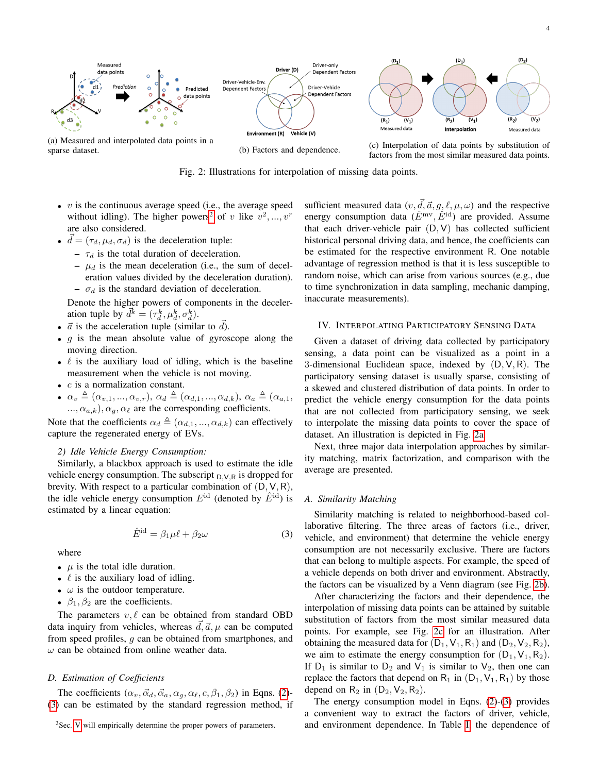<span id="page-3-3"></span>

(a) Measured and interpolated data points in a

(b) Factors and dependence. (c) Interpolation of data points by substitution of factors from the most similar measured data points.

Fig. 2: Illustrations for interpolation of missing data points.

- $v$  is the continuous average speed (i.e., the average speed without idling). The higher powers<sup>[2](#page-3-1)</sup> of v like  $v^2, ..., v^r$ are also considered.
- $\vec{d} = (\tau_d, \mu_d, \sigma_d)$  is the deceleration tuple:
	- $\tau_d$  is the total duration of deceleration.
	- $\mu_d$  is the mean deceleration (i.e., the sum of deceleration values divided by the deceleration duration).

 $- \sigma_d$  is the standard deviation of deceleration.

Denote the higher powers of components in the deceleration tuple by  $\overrightarrow{d}^k = (\tau_d^k, \mu_d^k, \sigma_d^k)$ .

- $\vec{a}$  is the acceleration tuple (similar to  $\vec{d}$ ).
- $q$  is the mean absolute value of gyroscope along the moving direction.
- $\ell$  is the auxiliary load of idling, which is the baseline measurement when the vehicle is not moving.
- $\bullet$  *c* is a normalization constant.
- $\alpha_v \triangleq (\alpha_{v,1}, ..., \alpha_{v,r}), \alpha_d \triangleq (\alpha_{d,1}, ..., \alpha_{d,k}), \alpha_a \triangleq (\alpha_{a,1},$  $\ldots, \alpha_{a,k}), \alpha_a, \alpha_\ell$  are the corresponding coefficients.

Note that the coefficients  $\alpha_d \triangleq (\alpha_{d,1}, ..., \alpha_{d,k})$  can effectively capture the regenerated energy of EVs.

## *2) Idle Vehicle Energy Consumption:*

Similarly, a blackbox approach is used to estimate the idle vehicle energy consumption. The subscript  $D, V, R$  is dropped for brevity. With respect to a particular combination of  $(D, V, R)$ , the idle vehicle energy consumption  $E^{id}$  (denoted by  $\hat{E}^{id}$ ) is estimated by a linear equation:

<span id="page-3-2"></span>
$$
\hat{E}^{\rm id} = \beta_1 \mu \ell + \beta_2 \omega \tag{3}
$$

where

- $\mu$  is the total idle duration.
- $\ell$  is the auxiliary load of idling.
- $\omega$  is the outdoor temperature.
- $\beta_1, \beta_2$  are the coefficients.

The parameters  $v, \ell$  can be obtained from standard OBD data inquiry from vehicles, whereas  $\overrightarrow{d}$ ,  $\overrightarrow{a}$ ,  $\mu$  can be computed from speed profiles, g can be obtained from smartphones, and  $\omega$  can be obtained from online weather data.

## *D. Estimation of Coefficients*

The coefficients  $(\alpha_v, \vec{\alpha}_d, \vec{\alpha}_a, \alpha_g, \alpha_\ell, c, \beta_1, \beta_2)$  in Eqns. [\(2\)](#page-2-2)-[\(3\)](#page-3-2) can be estimated by the standard regression method, if sufficient measured data  $(v, \vec{d}, \vec{a}, q, \ell, \mu, \omega)$  and the respective energy consumption data  $(\hat{E}^{\text{mv}}, \hat{E}^{\text{id}})$  are provided. Assume that each driver-vehicle pair  $(D, V)$  has collected sufficient historical personal driving data, and hence, the coefficients can be estimated for the respective environment R. One notable advantage of regression method is that it is less susceptible to random noise, which can arise from various sources (e.g., due to time synchronization in data sampling, mechanic damping, inaccurate measurements).

## <span id="page-3-0"></span>IV. INTERPOLATING PARTICIPATORY SENSING DATA

Given a dataset of driving data collected by participatory sensing, a data point can be visualized as a point in a 3-dimensional Euclidean space, indexed by  $(D, V, R)$ . The participatory sensing dataset is usually sparse, consisting of a skewed and clustered distribution of data points. In order to predict the vehicle energy consumption for the data points that are not collected from participatory sensing, we seek to interpolate the missing data points to cover the space of dataset. An illustration is depicted in Fig. [2a.](#page-3-3)

Next, three major data interpolation approaches by similarity matching, matrix factorization, and comparison with the average are presented.

### *A. Similarity Matching*

Similarity matching is related to neighborhood-based collaborative filtering. The three areas of factors (i.e., driver, vehicle, and environment) that determine the vehicle energy consumption are not necessarily exclusive. There are factors that can belong to multiple aspects. For example, the speed of a vehicle depends on both driver and environment. Abstractly, the factors can be visualized by a Venn diagram (see Fig. [2b\)](#page-3-3).

After characterizing the factors and their dependence, the interpolation of missing data points can be attained by suitable substitution of factors from the most similar measured data points. For example, see Fig. [2c](#page-3-3) for an illustration. After obtaining the measured data for  $(D_1, V_1, R_1)$  and  $(D_2, V_2, R_2)$ , we aim to estimate the energy consumption for  $(D_1, V_1, R_2)$ . If  $D_1$  is similar to  $D_2$  and  $V_1$  is similar to  $V_2$ , then one can replace the factors that depend on  $R_1$  in  $(D_1, V_1, R_1)$  by those depend on  $R_2$  in  $(D_2, V_2, R_2)$ .

The energy consumption model in Eqns. [\(2\)](#page-2-2)-[\(3\)](#page-3-2) provides a convenient way to extract the factors of driver, vehicle, and environment dependence. In Table [I,](#page-4-0) the dependence of

<span id="page-3-1"></span><sup>2</sup>Sec. [V](#page-6-0) will empirically determine the proper powers of parameters.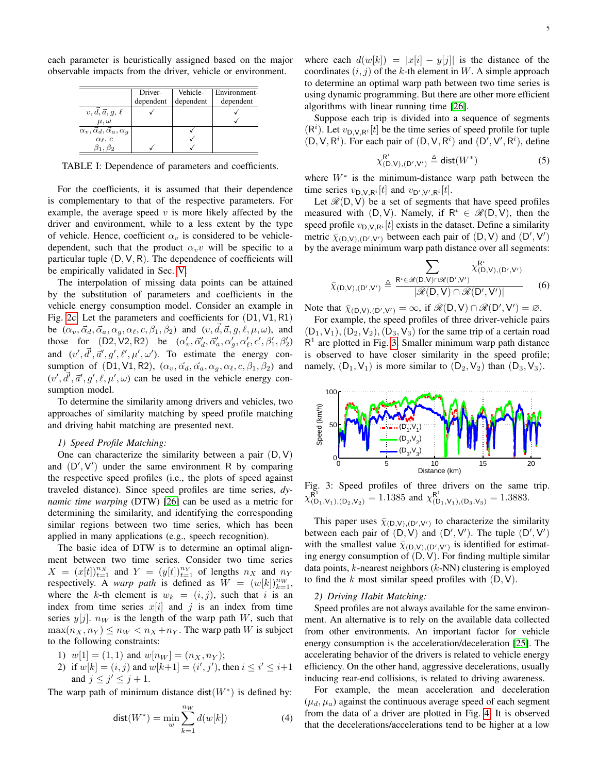|                                                      | Driver-   | Vehicle-  | Environment- |  |
|------------------------------------------------------|-----------|-----------|--------------|--|
|                                                      | dependent | dependent | dependent    |  |
| $v, \vec{d}, \vec{a}, g, \ell$                       |           |           |              |  |
| $\mu, \omega$                                        |           |           |              |  |
| $\alpha_v, \vec{\alpha}_d, \vec{\alpha}_a, \alpha_q$ |           |           |              |  |
| $\alpha_{\ell}, c$                                   |           |           |              |  |
| Bэ                                                   |           |           |              |  |

<span id="page-4-0"></span>each parameter is heuristically assigned based on the major observable impacts from the driver, vehicle or environment.

TABLE I: Dependence of parameters and coefficients.

For the coefficients, it is assumed that their dependence is complementary to that of the respective parameters. For example, the average speed  $v$  is more likely affected by the driver and environment, while to a less extent by the type of vehicle. Hence, coefficient  $\alpha_v$  is considered to be vehicledependent, such that the product  $\alpha_v v$  will be specific to a particular tuple  $(D, V, R)$ . The dependence of coefficients will be empirically validated in Sec. [V.](#page-6-0)

The interpolation of missing data points can be attained by the substitution of parameters and coefficients in the vehicle energy consumption model. Consider an example in Fig. [2c.](#page-3-3) Let the parameters and coefficients for (D1, V1, R1) be  $(\alpha_v, \vec{\alpha}_d, \vec{\alpha}_a, \alpha_g, \alpha_\ell, c, \beta_1, \beta_2)$  and  $(v, \vec{d}, \vec{a}, g, \ell, \mu, \omega)$ , and those for  $(D2, V2, R2)$  be  $(\alpha'_v, \vec{\alpha}'_d, \vec{\alpha}'_a, \alpha'_g, \alpha'_\ell, c', \beta'_1, \beta'_2)$ and  $(v', \overrightarrow{d}', \overrightarrow{a}', g', \ell', \mu', \omega')$ . To estimate the energy consumption of (D1, V1, R2),  $(\alpha_v, \vec{\alpha}_d, \vec{\alpha}_a, \alpha_q, \alpha_\ell, c, \beta_1, \beta_2)$  and  $(v', \overrightarrow{d}', \overrightarrow{a}', g', \ell, \mu', \omega)$  can be used in the vehicle energy consumption model.

To determine the similarity among drivers and vehicles, two approaches of similarity matching by speed profile matching and driving habit matching are presented next.

#### *1) Speed Profile Matching:*

One can characterize the similarity between a pair  $(D, V)$ and  $(D', V')$  under the same environment R by comparing the respective speed profiles (i.e., the plots of speed against traveled distance). Since speed profiles are time series, *dynamic time warping* (DTW) [\[26\]](#page-10-25) can be used as a metric for determining the similarity, and identifying the corresponding similar regions between two time series, which has been applied in many applications (e.g., speech recognition).

The basic idea of DTW is to determine an optimal alignment between two time series. Consider two time series  $X = (x[t])_{t=1}^{n_X}$  and  $Y = (y[t])_{t=1}^{n_Y}$  of lengths  $n_X$  and  $n_Y$ respectively. A *warp path* is defined as  $W = (w[k])_{k=1}^{n_W}$ , where the k-th element is  $w_k = (i, j)$ , such that i is an index from time series  $x[i]$  and j is an index from time series  $y[i]$ .  $n_W$  is the length of the warp path W, such that  $\max(n_X, n_Y) \leq n_W < n_X + n_Y$ . The warp path W is subject to the following constraints:

1) 
$$
w[1] = (1, 1)
$$
 and  $w[n_W] = (n_X, n_Y);$ 

2) if  $w[k] = (i, j)$  and  $w[k+1] = (i', j')$ , then  $i \le i' \le i+1$ and  $j \leq j' \leq j + 1$ .

The warp path of minimum distance dist $(W^*)$  is defined by:

$$
\operatorname{dist}(W^*) = \min_{w} \sum_{k=1}^{n_W} d(w[k]) \tag{4}
$$

where each  $d(w[k]) = |x[i] - y[j]|$  is the distance of the coordinates  $(i, j)$  of the k-th element in W. A simple approach to determine an optimal warp path between two time series is using dynamic programming. But there are other more efficient algorithms with linear running time [\[26\]](#page-10-25).

Suppose each trip is divided into a sequence of segments  $(R<sup>i</sup>)$ . Let  $v_{D,V,R<sup>i</sup>}[t]$  be the time series of speed profile for tuple  $(D, V, R<sup>i</sup>)$ . For each pair of  $(D, V, R<sup>i</sup>)$  and  $(D', V', R<sup>i</sup>)$ , define

$$
\chi^{R^i}_{(D,V),(D',V')} \triangleq \text{dist}(W^*)
$$
 (5)

where  $W^*$  is the minimum-distance warp path between the time series  $v_{D,\mathsf{V},\mathsf{R}^i}[t]$  and  $v_{D',\mathsf{V}',\mathsf{R}^i}[t]$ .

Let  $\mathcal{R}(D, V)$  be a set of segments that have speed profiles measured with (D, V). Namely, if  $R^i \in \mathcal{R}(D, V)$ , then the speed profile  $v_{D,V,R}$ <sup>[t]</sup> exists in the dataset. Define a similarity metric  $\bar{\chi}_{(D,V),(D',V')}$  between each pair of  $(D, V)$  and  $(D', V')$ by the average minimum warp path distance over all segments:

<span id="page-4-2"></span>
$$
\overline{\chi}_{(D,V),(D',V')} \triangleq \frac{\sum_{R^i \in \mathcal{R}(D,V) \cap \mathcal{R}(D',V')} \chi_{(D,V),(D',V')}^{R^i}}{|\mathcal{R}(D,V) \cap \mathcal{R}(D',V')|} \qquad (6)
$$

Note that  $\bar{\chi}_{(D,V),(D',V')} = \infty$ , if  $\mathcal{R}(D,V) \cap \mathcal{R}(D',V') = \emptyset$ .

For example, the speed profiles of three driver-vehicle pairs  $(D_1, V_1), (D_2, V_2), (D_3, V_3)$  for the same trip of a certain road  $R<sup>1</sup>$  are plotted in Fig. [3.](#page-4-1) Smaller minimum warp path distance is observed to have closer similarity in the speed profile; namely,  $(D_1, V_1)$  is more similar to  $(D_2, V_2)$  than  $(D_3, V_3)$ .

<span id="page-4-1"></span>

Fig. 3: Speed profiles of three drivers on the same trip.  $\chi_{(\mathsf{D}_1,\mathsf{V}_1),(\mathsf{D}_2,\mathsf{V}_2)}^{\mathbb{R}^1} = 1.1385$  and  $\chi_{(\mathsf{D}_1,\mathsf{V}_1),(\mathsf{D}_3,\mathsf{V}_3)}^{\mathsf{R}^1} = 1.3883$ .

This paper uses  $\bar{\chi}_{(D,V),(D',V')}$  to characterize the similarity between each pair of  $(D, V)$  and  $(D', V')$ . The tuple  $(D', V')$ with the smallest value  $\bar{\chi}_{(D,V),(D',V')}$  is identified for estimating energy consumption of  $(D, V)$ . For finding multiple similar data points,  $k$ -nearest neighbors  $(k$ -NN) clustering is employed to find the  $k$  most similar speed profiles with  $(D, V)$ .

# *2) Driving Habit Matching:*

Speed profiles are not always available for the same environment. An alternative is to rely on the available data collected from other environments. An important factor for vehicle energy consumption is the acceleration/deceleration [\[25\]](#page-10-24). The accelerating behavior of the drivers is related to vehicle energy efficiency. On the other hand, aggressive decelerations, usually inducing rear-end collisions, is related to driving awareness.

For example, the mean acceleration and deceleration  $(\mu_d, \mu_a)$  against the continuous average speed of each segment from the data of a driver are plotted in Fig. [4.](#page-5-0) It is observed that the decelerations/accelerations tend to be higher at a low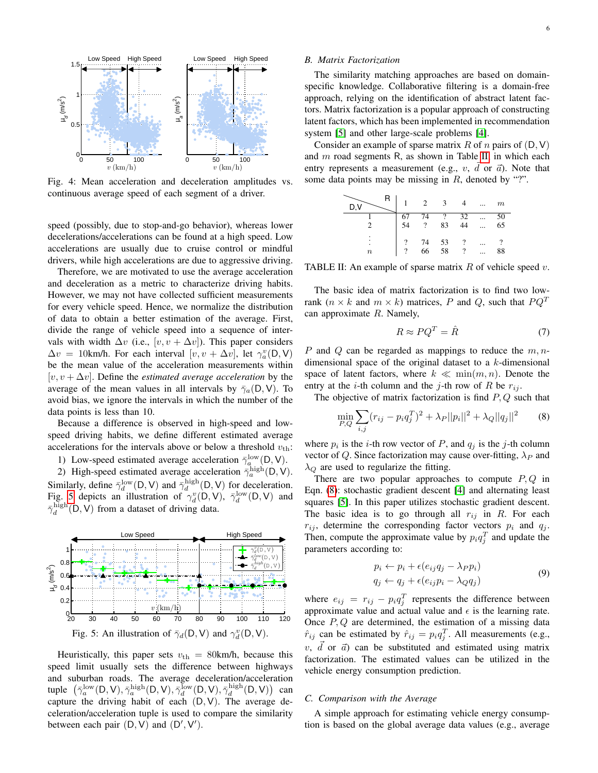<span id="page-5-0"></span>

Fig. 4: Mean acceleration and deceleration amplitudes vs. continuous average speed of each segment of a driver.

speed (possibly, due to stop-and-go behavior), whereas lower decelerations/accelerations can be found at a high speed. Low accelerations are usually due to cruise control or mindful drivers, while high accelerations are due to aggressive driving.

Therefore, we are motivated to use the average acceleration and deceleration as a metric to characterize driving habits. However, we may not have collected sufficient measurements for every vehicle speed. Hence, we normalize the distribution of data to obtain a better estimation of the average. First, divide the range of vehicle speed into a sequence of intervals with width  $\Delta v$  (i.e., [v, v +  $\Delta v$ ]). This paper considers  $\Delta v = 10$ km/h. For each interval  $[v, v + \Delta v]$ , let  $\gamma_a^v(D, V)$ be the mean value of the acceleration measurements within  $[v, v + \Delta v]$ . Define the *estimated average acceleration* by the average of the mean values in all intervals by  $\bar{\gamma}_a(D, V)$ . To avoid bias, we ignore the intervals in which the number of the data points is less than 10.

Because a difference is observed in high-speed and lowspeed driving habits, we define different estimated average accelerations for the intervals above or below a threshold  $v_{\text{th}}$ :

1) Low-speed estimated average acceleration  $\bar{\gamma}_a^{\text{low}}(D, V)$ .

2) High-speed estimated average acceleration  $\bar{\gamma}_a^{\text{high}}(D, V)$ . Similarly, define  $\bar{\gamma}_d^{\text{low}}(D, V)$  and  $\bar{\gamma}_d^{\text{high}}(D, V)$  for deceleration. Fig. [5](#page-5-1) depicts an illustration of  $\gamma_d^v(D, V)$ ,  $\bar{\gamma}_d^{\text{low}}(D, V)$  and  $\bar{\gamma}_d^{\text{high}}(D, V)$  from a dataset of driving data.

<span id="page-5-1"></span>

Heuristically, this paper sets  $v_{\text{th}} = 80 \text{km/h}$ , because this speed limit usually sets the difference between highways and suburban roads. The average deceleration/acceleration tuple  $(\bar{\gamma}_a^{\text{low}}(D, V), \bar{\gamma}_a^{\text{high}}(D, V), \bar{\gamma}_d^{\text{low}}(D, V), \bar{\gamma}_d^{\text{high}}(D, V))$  can capture the driving habit of each  $(D, V)$ . The average deceleration/acceleration tuple is used to compare the similarity between each pair  $(D, V)$  and  $(D', V')$ .

# *B. Matrix Factorization*

The similarity matching approaches are based on domainspecific knowledge. Collaborative filtering is a domain-free approach, relying on the identification of abstract latent factors. Matrix factorization is a popular approach of constructing latent factors, which has been implemented in recommendation system [\[5\]](#page-10-4) and other large-scale problems [\[4\]](#page-10-3).

Consider an example of sparse matrix R of n pairs of  $(D, V)$ and  $m$  road segments R, as shown in Table [II,](#page-5-2) in which each entry represents a measurement (e.g., v,  $\vec{d}$  or  $\vec{a}$ ). Note that some data points may be missing in  $R$ , denoted by "?".

<span id="page-5-2"></span>

| R.      |               | $\overline{2}$ |                |                 | <br>$_{m}$ |
|---------|---------------|----------------|----------------|-----------------|------------|
|         | 67            | 74             |                |                 | <br>50     |
|         | 54            | $\overline{?}$ | $\frac{?}{83}$ | $\frac{32}{44}$ | <br>65     |
| ٠       | $\mathcal{D}$ |                | 74 53<br>66 58 | ?               |            |
| $\it n$ | 9             |                |                | റ               |            |

TABLE II: An example of sparse matrix  $R$  of vehicle speed  $v$ .

The basic idea of matrix factorization is to find two lowrank  $(n \times k$  and  $m \times k)$  matrices, P and Q, such that  $PQ<sup>T</sup>$ can approximate  $R$ . Namely,

$$
R \approx PQ^T = \hat{R} \tag{7}
$$

P and Q can be regarded as mappings to reduce the  $m, n$ dimensional space of the original dataset to a k-dimensional space of latent factors, where  $k \ll \min(m, n)$ . Denote the entry at the *i*-th column and the *j*-th row of R be  $r_{ij}$ .

The objective of matrix factorization is find  $P, Q$  such that

<span id="page-5-3"></span>
$$
\min_{P,Q} \sum_{i,j} (r_{ij} - p_i q_j^T)^2 + \lambda_P ||p_i||^2 + \lambda_Q ||q_j||^2 \tag{8}
$$

where  $p_i$  is the *i*-th row vector of P, and  $q_j$  is the *j*-th column vector of Q. Since factorization may cause over-fitting,  $\lambda_P$  and  $\lambda_Q$  are used to regularize the fitting.

There are two popular approaches to compute  $P, Q$  in Eqn. [\(8\)](#page-5-3): stochastic gradient descent [\[4\]](#page-10-3) and alternating least squares [\[5\]](#page-10-4). In this paper utilizes stochastic gradient descent. The basic idea is to go through all  $r_{ij}$  in R. For each  $r_{ij}$ , determine the corresponding factor vectors  $p_i$  and  $q_j$ . Then, compute the approximate value by  $p_i q_j^T$  and update the parameters according to:

$$
p_i \leftarrow p_i + \epsilon(e_{ij}q_j - \lambda_P p_i)
$$
  
\n
$$
q_j \leftarrow q_j + \epsilon(e_{ij}p_i - \lambda_Q q_j)
$$
\n(9)

where  $e_{ij} = r_{ij} - p_i q_j^T$  represents the difference between approximate value and actual value and  $\epsilon$  is the learning rate. Once  $P, Q$  are determined, the estimation of a missing data  $\hat{r}_{ij}$  can be estimated by  $\hat{r}_{ij} = p_i q_j^T$ . All measurements (e.g., v,  $\vec{d}$  or  $\vec{a}$ ) can be substituted and estimated using matrix factorization. The estimated values can be utilized in the vehicle energy consumption prediction.

## *C. Comparison with the Average*

A simple approach for estimating vehicle energy consumption is based on the global average data values (e.g., average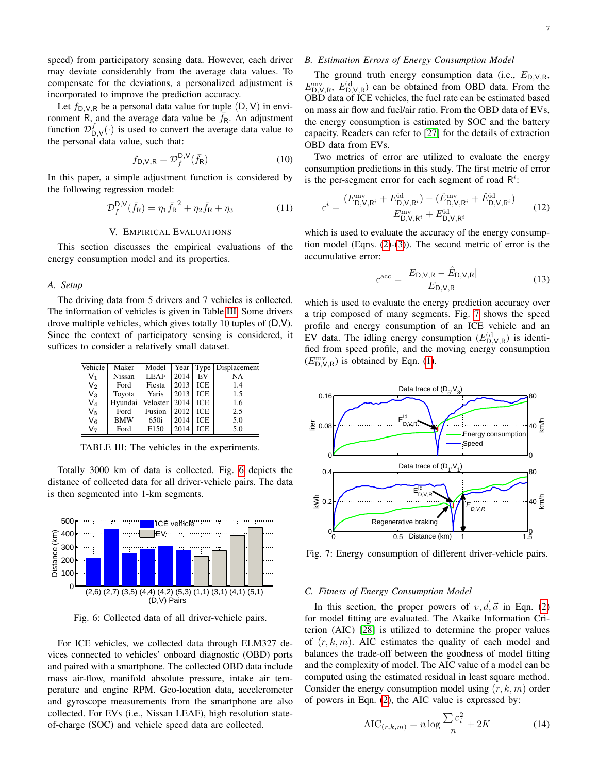speed) from participatory sensing data. However, each driver may deviate considerably from the average data values. To compensate for the deviations, a personalized adjustment is incorporated to improve the prediction accuracy.

Let  $f_{D,V,R}$  be a personal data value for tuple  $(D, V)$  in environment R, and the average data value be  $f_R$ . An adjustment function  $\mathcal{D}_{D,V}^f(\cdot)$  is used to convert the average data value to the personal data value, such that:

$$
f_{\mathsf{D},\mathsf{V},\mathsf{R}} = \mathcal{D}_f^{\mathsf{D},\mathsf{V}}(\bar{f}_{\mathsf{R}})
$$
(10)

In this paper, a simple adjustment function is considered by the following regression model:

<span id="page-6-5"></span>
$$
\mathcal{D}_f^{\mathsf{D},\mathsf{V}}(\bar{f}_{\mathsf{R}}) = \eta_1 \bar{f}_{\mathsf{R}}^2 + \eta_2 \bar{f}_{\mathsf{R}} + \eta_3 \tag{11}
$$

### V. EMPIRICAL EVALUATIONS

<span id="page-6-0"></span>This section discusses the empirical evaluations of the energy consumption model and its properties.

#### *A. Setup*

The driving data from 5 drivers and 7 vehicles is collected. The information of vehicles is given in Table [III.](#page-6-1) Some drivers drove multiple vehicles, which gives totally 10 tuples of  $(D,V)$ . Since the context of participatory sensing is considered, it suffices to consider a relatively small dataset.

<span id="page-6-1"></span>

| Vehicle        | Maker      | Model            | Year | Type | Displacement |
|----------------|------------|------------------|------|------|--------------|
| V1             | Nissan     | LEAF             | 2014 | EV   | NA           |
| $V_2$          | Ford       | Fiesta           | 2013 | ICE  | 1.4          |
| $V_{3}$        | Toyota     | Yaris            | 2013 | ICE  | 1.5          |
| $\mathsf{V}_4$ | Hyundai    | Veloster         | 2014 | ICE  | 1.6          |
| $V_{5}$        | Ford       | Fusion           | 2012 | ICE  | 2.5          |
| $V_6$          | <b>BMW</b> | 650i             | 2014 | ICE  | 5.0          |
| $\mathsf{V}_7$ | Ford       | F <sub>150</sub> | 2014 | ICE  | 5.0          |

TABLE III: The vehicles in the experiments.

Totally 3000 km of data is collected. Fig. [6](#page-6-2) depicts the distance of collected data for all driver-vehicle pairs. The data is then segmented into 1-km segments.

<span id="page-6-2"></span>

Fig. 6: Collected data of all driver-vehicle pairs.

For ICE vehicles, we collected data through ELM327 devices connected to vehicles' onboard diagnostic (OBD) ports and paired with a smartphone. The collected OBD data include mass air-flow, manifold absolute pressure, intake air temperature and engine RPM. Geo-location data, accelerometer and gyroscope measurements from the smartphone are also collected. For EVs (i.e., Nissan LEAF), high resolution stateof-charge (SOC) and vehicle speed data are collected.

# *B. Estimation Errors of Energy Consumption Model*

The ground truth energy consumption data (i.e.,  $E_{D,V,R}$ ,  $E_{\text{D,V,R}}^{\text{mv}}, E_{\text{D,V,R}}^{\text{id}}$  can be obtained from OBD data. From the OBD data of ICE vehicles, the fuel rate can be estimated based on mass air flow and fuel/air ratio. From the OBD data of EVs, the energy consumption is estimated by SOC and the battery capacity. Readers can refer to [\[27\]](#page-10-26) for the details of extraction OBD data from EVs.

Two metrics of error are utilized to evaluate the energy consumption predictions in this study. The first metric of error is the per-segment error for each segment of road  $R^i$ :

<span id="page-6-4"></span>
$$
\varepsilon^{i} = \frac{(E_{\mathsf{D},\mathsf{V},\mathsf{R}^{i}}^{\text{mv}} + E_{\mathsf{D},\mathsf{V},\mathsf{R}^{i}}^{\text{id}}) - (\hat{E}_{\mathsf{D},\mathsf{V},\mathsf{R}^{i}}^{\text{mv}} + \hat{E}_{\mathsf{D},\mathsf{V},\mathsf{R}^{i}}^{\text{id}})}{E_{\mathsf{D},\mathsf{V},\mathsf{R}^{i}}^{\text{mv}} + E_{\mathsf{D},\mathsf{V},\mathsf{R}^{i}}^{\text{id}}} \tag{12}
$$

which is used to evaluate the accuracy of the energy consumption model (Eqns. [\(2\)](#page-2-2)-[\(3\)](#page-3-2)). The second metric of error is the accumulative error:

$$
\varepsilon^{\text{acc}} = \frac{|E_{\text{D,V,R}} - \hat{E}_{\text{D,V,R}}|}{E_{\text{D,V,R}}} \tag{13}
$$

which is used to evaluate the energy prediction accuracy over a trip composed of many segments. Fig. [7](#page-6-3) shows the speed profile and energy consumption of an ICE vehicle and an EV data. The idling energy consumption  $(E_{D,V,R}^{id})$  is identified from speed profile, and the moving energy consumption  $(E_{D,V,R}^{mv})$  is obtained by Eqn. [\(1\)](#page-2-3).

<span id="page-6-3"></span>

Fig. 7: Energy consumption of different driver-vehicle pairs.

#### *C. Fitness of Energy Consumption Model*

In this section, the proper powers of  $v, d, \vec{a}$  in Eqn. [\(2\)](#page-2-2) for model fitting are evaluated. The Akaike Information Criterion (AIC) [\[28\]](#page-10-27) is utilized to determine the proper values of  $(r, k, m)$ . AIC estimates the quality of each model and balances the trade-off between the goodness of model fitting and the complexity of model. The AIC value of a model can be computed using the estimated residual in least square method. Consider the energy consumption model using  $(r, k, m)$  order of powers in Eqn. [\(2\)](#page-2-2), the AIC value is expressed by:

$$
AIC_{(r,k,m)} = n \log \frac{\sum \varepsilon_i^2}{n} + 2K
$$
 (14)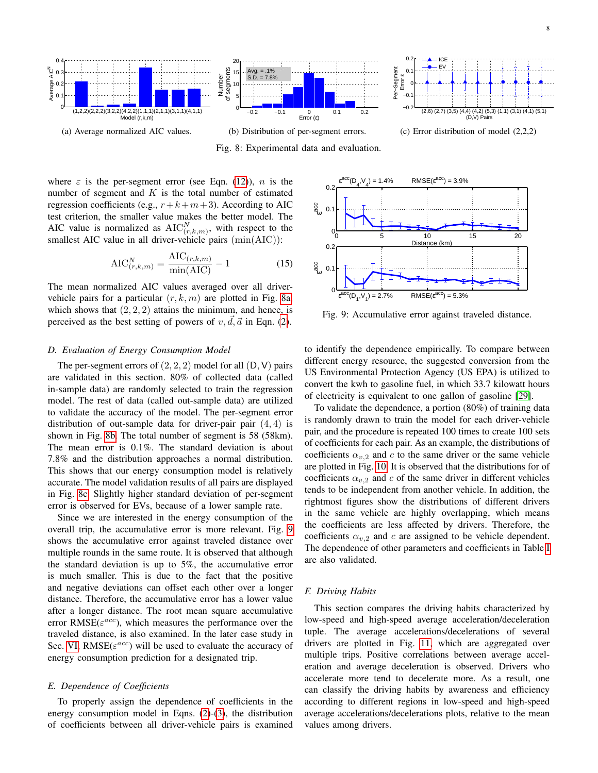<span id="page-7-0"></span>

Fig. 8: Experimental data and evaluation.

where  $\varepsilon$  is the per-segment error (see Eqn. [\(12\)](#page-6-4)), n is the number of segment and  $K$  is the total number of estimated regression coefficients (e.g.,  $r+k+m+3$ ). According to AIC test criterion, the smaller value makes the better model. The AIC value is normalized as  $AIC_{(r,k,m)}^N$ , with respect to the smallest AIC value in all driver-vehicle pairs (min(AIC)):

$$
AIC_{(r,k,m)}^N = \frac{AIC_{(r,k,m)}}{\min(AIC)} - 1
$$
\n(15)

The mean normalized AIC values averaged over all drivervehicle pairs for a particular  $(r, k, m)$  are plotted in Fig. [8a,](#page-7-0) which shows that  $(2, 2, 2)$  attains the minimum, and hence, is perceived as the best setting of powers of  $v, d, \vec{a}$  in Eqn. [\(2\)](#page-2-2).

#### *D. Evaluation of Energy Consumption Model*

The per-segment errors of  $(2, 2, 2)$  model for all  $(D, V)$  pairs are validated in this section. 80% of collected data (called in-sample data) are randomly selected to train the regression model. The rest of data (called out-sample data) are utilized to validate the accuracy of the model. The per-segment error distribution of out-sample data for driver-pair pair  $(4, 4)$  is shown in Fig. [8b.](#page-7-0) The total number of segment is 58 (58km). The mean error is 0.1%. The standard deviation is about 7.8% and the distribution approaches a normal distribution. This shows that our energy consumption model is relatively accurate. The model validation results of all pairs are displayed in Fig. [8c.](#page-7-0) Slightly higher standard deviation of per-segment error is observed for EVs, because of a lower sample rate.

Since we are interested in the energy consumption of the overall trip, the accumulative error is more relevant. Fig. [9](#page-7-1) shows the accumulative error against traveled distance over multiple rounds in the same route. It is observed that although the standard deviation is up to 5%, the accumulative error is much smaller. This is due to the fact that the positive and negative deviations can offset each other over a longer distance. Therefore, the accumulative error has a lower value after a longer distance. The root mean square accumulative error RMSE( $\varepsilon^{acc}$ ), which measures the performance over the traveled distance, is also examined. In the later case study in Sec. [VI,](#page-8-0) RMSE( $\varepsilon^{acc}$ ) will be used to evaluate the accuracy of energy consumption prediction for a designated trip.

## *E. Dependence of Coefficients*

To properly assign the dependence of coefficients in the energy consumption model in Eqns. [\(2\)](#page-2-2)-[\(3\)](#page-3-2), the distribution of coefficients between all driver-vehicle pairs is examined

<span id="page-7-1"></span>

Fig. 9: Accumulative error against traveled distance.

to identify the dependence empirically. To compare between different energy resource, the suggested conversion from the US Environmental Protection Agency (US EPA) is utilized to convert the kwh to gasoline fuel, in which 33.7 kilowatt hours of electricity is equivalent to one gallon of gasoline [\[29\]](#page-10-28).

To validate the dependence, a portion (80%) of training data is randomly drawn to train the model for each driver-vehicle pair, and the procedure is repeated 100 times to create 100 sets of coefficients for each pair. As an example, the distributions of coefficients  $\alpha_{v,2}$  and c to the same driver or the same vehicle are plotted in Fig. [10.](#page-8-1) It is observed that the distributions for of coefficients  $\alpha_{v,2}$  and c of the same driver in different vehicles tends to be independent from another vehicle. In addition, the rightmost figures show the distributions of different drivers in the same vehicle are highly overlapping, which means the coefficients are less affected by drivers. Therefore, the coefficients  $\alpha_{v,2}$  and c are assigned to be vehicle dependent. The dependence of other parameters and coefficients in Table [I](#page-4-0) are also validated.

# *F. Driving Habits*

This section compares the driving habits characterized by low-speed and high-speed average acceleration/deceleration tuple. The average accelerations/decelerations of several drivers are plotted in Fig. [11,](#page-8-2) which are aggregated over multiple trips. Positive correlations between average acceleration and average deceleration is observed. Drivers who accelerate more tend to decelerate more. As a result, one can classify the driving habits by awareness and efficiency according to different regions in low-speed and high-speed average accelerations/decelerations plots, relative to the mean values among drivers.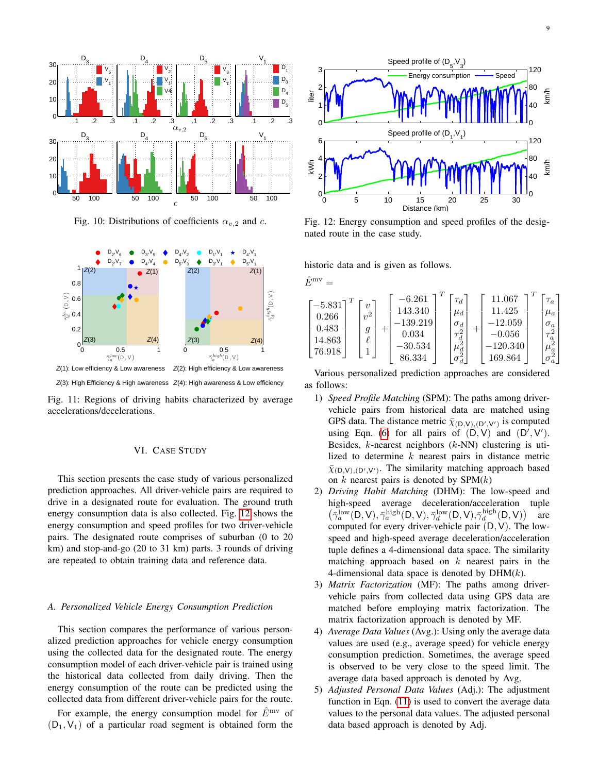<span id="page-8-1"></span>

Fig. 10: Distributions of coefficients  $\alpha_{v,2}$  and c.

<span id="page-8-2"></span>

 $Z(3)$ : High Efficiency & High awareness  $Z(4)$ : High awareness & Low efficiency



### VI. CASE STUDY

<span id="page-8-0"></span>This section presents the case study of various personalized prediction approaches. All driver-vehicle pairs are required to drive in a designated route for evaluation. The ground truth energy consumption data is also collected. Fig. [12](#page-8-3) shows the energy consumption and speed profiles for two driver-vehicle pairs. The designated route comprises of suburban (0 to 20 km) and stop-and-go (20 to 31 km) parts. 3 rounds of driving are repeated to obtain training data and reference data.

#### *A. Personalized Vehicle Energy Consumption Prediction*

This section compares the performance of various personalized prediction approaches for vehicle energy consumption using the collected data for the designated route. The energy consumption model of each driver-vehicle pair is trained using the historical data collected from daily driving. Then the energy consumption of the route can be predicted using the collected data from different driver-vehicle pairs for the route.

For example, the energy consumption model for  $\hat{E}^{\text{mv}}$  of  $(D_1, V_1)$  of a particular road segment is obtained form the

<span id="page-8-3"></span>

Fig. 12: Energy consumption and speed profiles of the designated route in the case study.

historic data and is given as follows.

 $\hat{E}^{\text{mv}}=$ 

 $\lceil$  $\overline{1}$  $\overline{1}$  $\overline{1}$  $\overline{1}$  $\overline{1}$ −5.831 0.266 0.483 14.863 76.918 1  $\perp$  $\mathbf{I}$  $\mathbf{I}$  $\mathbf{I}$  $\mathbf{I}$  $T$   $\lceil$  $\overline{\phantom{a}}$  $\vert g$  $\overline{1}$  $\overline{1}$  $\overline{\phantom{a}}$  $\overline{v}$  $v^2$  $\ell$ 1 1  $\overline{1}$  $\overline{1}$  $\overline{1}$  $\overline{1}$  $\mathbf{I}$ +  $\lceil$  $\overline{\phantom{a}}$  $\overline{1}$  $\cdot$  $\mathbb{I}$  $\overline{1}$  $\overline{1}$  $\overline{\phantom{a}}$ −6.261 143.340 −139.219 0.034 −30.534 86.334 1  $\overline{1}$  $\mathbf{I}$  $T$  [  $\tau_d$  $\mu_d$  $\sigma_d$  $\tau_d^2 \ \mu_d^2 \ \sigma_d^2$ d 1 +  $\lceil$  $\overline{\phantom{a}}$  $\overline{1}$  $\cdot$  $\mathbb{I}$  $\overline{\phantom{a}}$  $\overline{1}$  $\overline{1}$ 11.067 11.425 −12.059 −0.056 −120.340 169.864 1  $\overline{1}$  $\overline{1}$  $\overline{1}$  $\overline{1}$  $\overline{1}$  $\overline{1}$  $\mathbf{I}$  $T$  [  $\overline{1}$   $\tau_a$  $\mu_a$  $\sigma_a$  $\frac{\tau_a^2}{\mu_a^2} \sigma_a^2$ a 1  $\overline{1}$  $\mathbf{I}$  $\mathbf{I}$  $\mathbf{I}$  $\mathbf{I}$  $\overline{1}$  $\mathbf{I}$ 

Various personalized prediction approaches are considered as follows:

- 1) *Speed Profile Matching* (SPM): The paths among drivervehicle pairs from historical data are matched using GPS data. The distance metric  $\bar{\chi}_{(D,V),(D',V')}$  is computed using Eqn. [\(6\)](#page-4-2) for all pairs of  $(D, V)$  and  $(D', V')$ . Besides,  $k$ -nearest neighbors  $(k$ -NN) clustering is utilized to determine  $k$  nearest pairs in distance metric  $\bar{X}(D,V), (D',V')$ . The similarity matching approach based on  $k$  nearest pairs is denoted by  $SPM(k)$
- 2) *Driving Habit Matching* (DHM): The low-speed and high-speed average deceleration/acceleration tuple  $\left(\bar{\gamma}_a^{\text{low}}(\mathsf{D},\mathsf{V}), \bar{\gamma}_a^{\text{high}}(\mathsf{D},\mathsf{V}),\bar{\gamma}_d^{\text{low}}(\mathsf{D},\mathsf{V}), \bar{\gamma}_d^{\text{high}}(\mathsf{D},\mathsf{V})\right)$ are computed for every driver-vehicle pair (D, V). The lowspeed and high-speed average deceleration/acceleration tuple defines a 4-dimensional data space. The similarity matching approach based on  $k$  nearest pairs in the 4-dimensional data space is denoted by  $DHM(k)$ .
- 3) *Matrix Factorization* (MF): The paths among drivervehicle pairs from collected data using GPS data are matched before employing matrix factorization. The matrix factorization approach is denoted by MF.
- 4) *Average Data Values* (Avg.): Using only the average data values are used (e.g., average speed) for vehicle energy consumption prediction. Sometimes, the average speed is observed to be very close to the speed limit. The average data based approach is denoted by Avg.
- 5) *Adjusted Personal Data Values* (Adj.): The adjustment function in Eqn. [\(11\)](#page-6-5) is used to convert the average data values to the personal data values. The adjusted personal data based approach is denoted by Adj.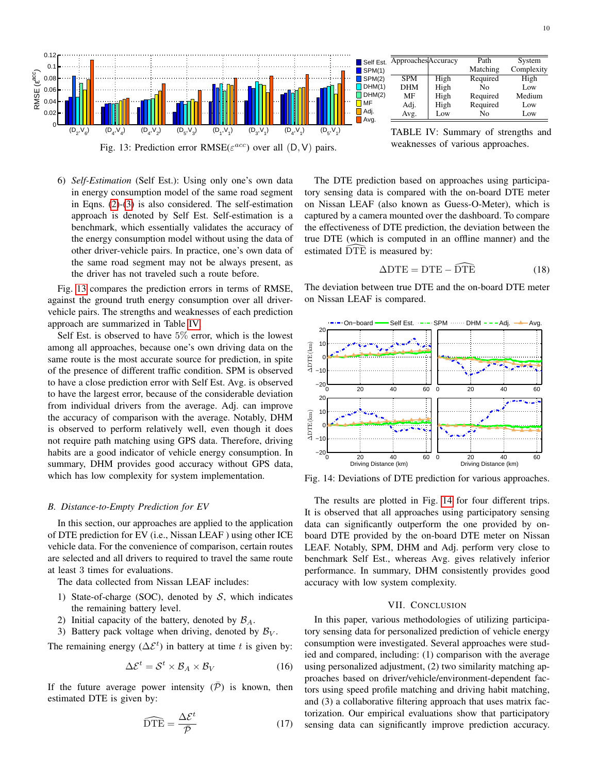<span id="page-9-0"></span>

Fig. 13: Prediction error RMSE( $\varepsilon^{acc}$ ) over all (D, V) pairs.

6) *Self-Estimation* (Self Est.): Using only one's own data in energy consumption model of the same road segment in Eqns. [\(2\)](#page-2-2)-[\(3\)](#page-3-2) is also considered. The self-estimation approach is denoted by Self Est. Self-estimation is a benchmark, which essentially validates the accuracy of the energy consumption model without using the data of other driver-vehicle pairs. In practice, one's own data of the same road segment may not be always present, as the driver has not traveled such a route before.

Fig. [13](#page-9-0) compares the prediction errors in terms of RMSE, against the ground truth energy consumption over all drivervehicle pairs. The strengths and weaknesses of each prediction approach are summarized in Table [IV.](#page-9-0)

Self Est. is observed to have  $5\%$  error, which is the lowest among all approaches, because one's own driving data on the same route is the most accurate source for prediction, in spite of the presence of different traffic condition. SPM is observed to have a close prediction error with Self Est. Avg. is observed to have the largest error, because of the considerable deviation from individual drivers from the average. Adj. can improve the accuracy of comparison with the average. Notably, DHM is observed to perform relatively well, even though it does not require path matching using GPS data. Therefore, driving habits are a good indicator of vehicle energy consumption. In summary, DHM provides good accuracy without GPS data, which has low complexity for system implementation.

#### *B. Distance-to-Empty Prediction for EV*

In this section, our approaches are applied to the application of DTE prediction for EV (i.e., Nissan LEAF ) using other ICE vehicle data. For the convenience of comparison, certain routes are selected and all drivers to required to travel the same route at least 3 times for evaluations.

The data collected from Nissan LEAF includes:

- 1) State-of-charge (SOC), denoted by  $S$ , which indicates the remaining battery level.
- 2) Initial capacity of the battery, denoted by  $\mathcal{B}_A$ .
- 3) Battery pack voltage when driving, denoted by  $B_V$ .

The remaining energy ( $\Delta \mathcal{E}^{t}$ ) in battery at time t is given by:

$$
\Delta \mathcal{E}^t = \mathcal{S}^t \times \mathcal{B}_A \times \mathcal{B}_V \tag{16}
$$

If the future average power intensity  $(\bar{P})$  is known, then estimated DTE is given by:

$$
\widehat{\text{DTE}} = \frac{\Delta \mathcal{E}^t}{\bar{\mathcal{P}}}
$$
\n(17)

| it. | Approaches Accuracy |      | Path           | System     |
|-----|---------------------|------|----------------|------------|
|     |                     |      | Matching       | Complexity |
|     | <b>SPM</b>          | High | Required       | High       |
|     | <b>DHM</b>          | High | N <sub>0</sub> | Low        |
|     | MF                  | High | Required       | Medium     |
|     | Adj.                | High | Required       | Low        |
|     | Avg.                | Low  | No             | Low        |

TABLE IV: Summary of strengths and weaknesses of various approaches.

The DTE prediction based on approaches using participatory sensing data is compared with the on-board DTE meter on Nissan LEAF (also known as Guess-O-Meter), which is captured by a camera mounted over the dashboard. To compare the effectiveness of DTE prediction, the deviation between the true DTE (which is computed in an offline manner) and the estimated DTE is measured by:

$$
\Delta DTE = DTE - \widehat{DTE} \tag{18}
$$

The deviation between true DTE and the on-board DTE meter on Nissan LEAF is compared.

<span id="page-9-1"></span>

Fig. 14: Deviations of DTE prediction for various approaches.

The results are plotted in Fig. [14](#page-9-1) for four different trips. It is observed that all approaches using participatory sensing data can significantly outperform the one provided by onboard DTE provided by the on-board DTE meter on Nissan LEAF. Notably, SPM, DHM and Adj. perform very close to benchmark Self Est., whereas Avg. gives relatively inferior performance. In summary, DHM consistently provides good accuracy with low system complexity.

#### VII. CONCLUSION

In this paper, various methodologies of utilizing participatory sensing data for personalized prediction of vehicle energy consumption were investigated. Several approaches were studied and compared, including: (1) comparison with the average using personalized adjustment, (2) two similarity matching approaches based on driver/vehicle/environment-dependent factors using speed profile matching and driving habit matching, and (3) a collaborative filtering approach that uses matrix factorization. Our empirical evaluations show that participatory sensing data can significantly improve prediction accuracy.